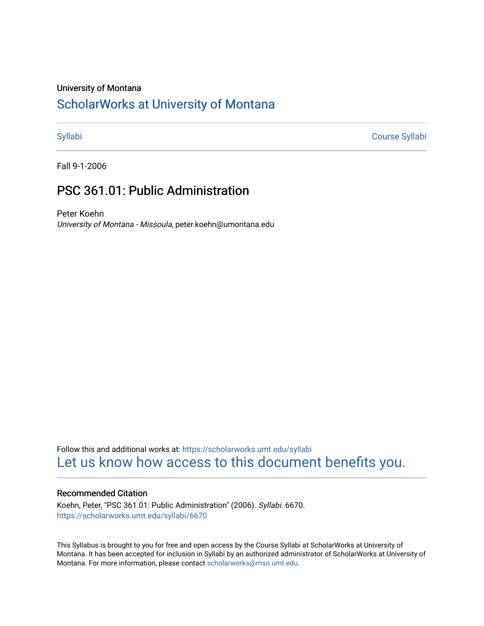### University of Montana

# [ScholarWorks at University of Montana](https://scholarworks.umt.edu/)

[Syllabi](https://scholarworks.umt.edu/syllabi) [Course Syllabi](https://scholarworks.umt.edu/course_syllabi) 

Fall 9-1-2006

# PSC 361.01: Public Administration

Peter Koehn University of Montana - Missoula, peter.koehn@umontana.edu

Follow this and additional works at: [https://scholarworks.umt.edu/syllabi](https://scholarworks.umt.edu/syllabi?utm_source=scholarworks.umt.edu%2Fsyllabi%2F6670&utm_medium=PDF&utm_campaign=PDFCoverPages)  [Let us know how access to this document benefits you.](https://goo.gl/forms/s2rGfXOLzz71qgsB2) 

### Recommended Citation

Koehn, Peter, "PSC 361.01: Public Administration" (2006). Syllabi. 6670. [https://scholarworks.umt.edu/syllabi/6670](https://scholarworks.umt.edu/syllabi/6670?utm_source=scholarworks.umt.edu%2Fsyllabi%2F6670&utm_medium=PDF&utm_campaign=PDFCoverPages)

This Syllabus is brought to you for free and open access by the Course Syllabi at ScholarWorks at University of Montana. It has been accepted for inclusion in Syllabi by an authorized administrator of ScholarWorks at University of Montana. For more information, please contact [scholarworks@mso.umt.edu.](mailto:scholarworks@mso.umt.edu)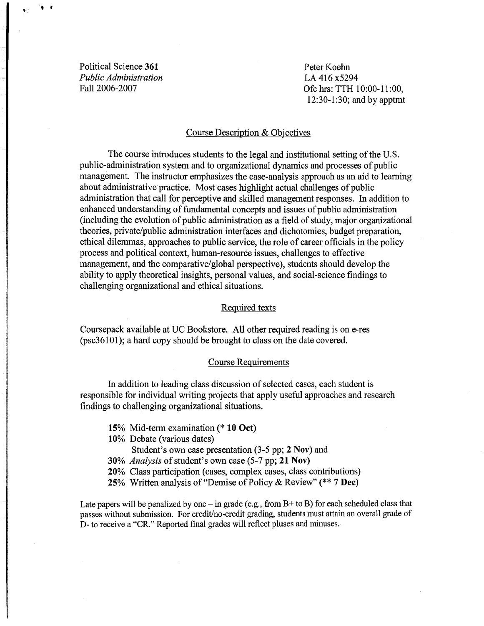Political Science 361 *Public Administration*  Fall 2006-2007

 $\bullet$  .  $\bullet$ 

Peter Koehn LA 416 x5294 Ofc hrs: TTH 10:00-11:00, 12:30-1:30; and by apptmt

### Course Description & Objectives

The course introduces students to the legal and institutional setting of the U.S. public-administration system and to organizational dynamics and processes of public management. The instructor emphasizes the case-analysis approach as an aid to learning about administrative practice. Most cases highlight actual challenges of public administration that call for perceptive and skilled management responses. In addition to enhanced understanding of fundamental concepts and issues of public administration (including the evolution of public administration as a field of study, major organizational theories, private/public administration interfaces and dichotomies, budget preparation, ethical dilemmas, approaches to public service, the role of career officials in the policy process and political context, human-resource issues, challenges to effective management, and the comparative/global perspective), students should develop the ability to apply theoretical insights, personal values, and social-science findings to challenging organizational and ethical situations.

### Required texts

Coursepack available at UC Bookstore. All other required reading is on e-res (psc36101); a hard copy should be brought to class on the date covered.

### Course Requirements

In addition to leading class discussion of selected cases, each student is responsible for individual writing projects that apply useful approaches and research findings to challenging organizational situations.

- 15% Mid-term examination(\* 10 Oct)
- 10% Debate (various dates)
	- Student's own case presentation (3-5 pp; 2 Nov) and
- 30% *Analysis* of student's own case (5-7 pp; 21 Nov)
- 20% Class participation (cases, complex cases, class contributions)
- 25% Written analysis of "Demise of Policy & Review" (\*\* 7 Dec)

Late papers will be penalized by one  $-$  in grade (e.g., from B+ to B) for each scheduled class that passes without submission. For credit/no-credit grading, students must attain an overall grade of D- to receive a "CR." Reported final grades will reflect pluses and minuses.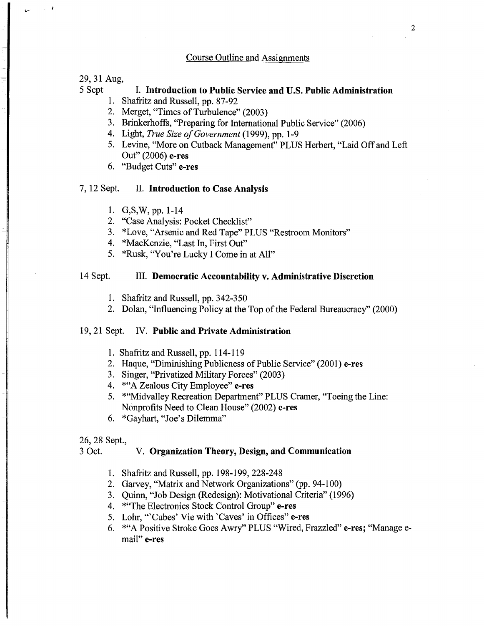# Course Outline and Assignments

29, 31 Aug,

J.

# 5 Sept I. Introduction to Public Service and U.S. Public Administration

- 1. Shafritz and Russell, pp. 87-92
- 2. Merget, "Times of Turbulence" (2003)
- 3. Brinkerhoffs, "Preparing for International Public Service" (2006)
- 4. Light, *True Size ofGovernment* (1999), pp. 1-9
- 5. Levine, "More on Cutback Management" PLUS Herbert, "Laid Off and Left Out" (2006) e-res
- 6. "Budget Cuts" e-res

### 7, 12 Sept. II. Introduction to Case Analysis

- 1. G, S, W, pp. 1-14
- 2. "Case Analysis: Pocket Checklist"
- 3. \*Love, "Arsenic and Red Tape" PLUS "Restroom Monitors"
- 4. \*MacKenzie, "Last In, First Out"
- 5. \*Rusk, "You're Lucky I Come in at All"

### 14 Sept. III. Democratic Accountability v. Administrative Discretion

- 1. Shafritz and Russell, pp. 342-350
- 2. Dolan, "Influencing Policy at the Top of the Federal Bureaucracy" (2000)

### 19, 21 Sept. IV. Public and Private Administration

- 1. Shafritz and Russell, pp. 114-119
- 2. Haque, "Diminishing Publicness of Public Service" (2001) e-res
- 3. Singer, "Privatized Military Forces" (2003)
- 4. \* "A Zealous City Employee" e-res
- 5. \*"Midvalley Recreation Department" PLUS Cramer, "Toeing the Line: Nonprofits Need to Clean House" (2002) e-res
- 6. \*Gayhart, "Joe's Dilemma"

### 26, 28 Sept.,

### 3 Oct. V. Organization Theory, Design, and Communication

- 1. Shafritz and Russell, pp. 198-199, 228-248
- 2. Garvey, "Matrix and Network Organizations" (pp. 94-100)
- 3. Quinn, "Job Design (Redesign): Motivational Criteria" (1996)
- 4. \* "The Electronics Stock Control Group" e-res
- 5. Lohr, "'Cubes' Vie with 'Caves' in Offices" e-res
- 6. \*"A Positive Stroke Goes Awry" PLUS "Wired, Frazzled" e-res; "Manage email" e-res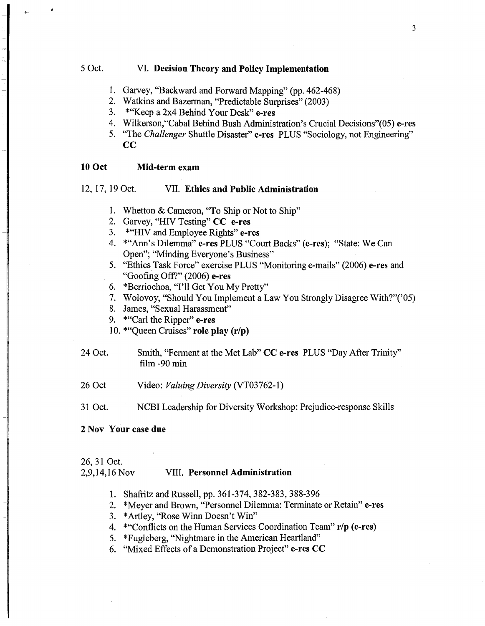# 5 Oct. VI. Decision Theory and Policy Implementation

- 1. Garvey, "Backward and Forward Mapping" (pp. 462-468)
- 2. Watkins and Bazerman, "Predictable Surprises" (2003)
- 3. \*"Keep a 2x4 Behind Your Desk" e-res
- 4. Wilkerson,"Cabal Behind Bush Administration's Crucial Decisions"(05) e-res
- 5. "The *Challenger* Shuttle Disaster" e-res PLUS "Sociology, not Engineering"  $\bf CC$

# 10 Oct Mid-term exam

# 12, 17, 19 Oct. VII. Ethics and Public Administration

- 1. Whetton & Cameron, "To Ship or Not to Ship"
- 2. Garvey, "HIV Testing" CC e-res
- 3. \* "HIV and Employee Rights" e-res
- 4. \* "Ann's Dilemma" e-res PLUS "Court Backs" (e-res); "State: We Can Open"; "Minding Everyone's Business"
- 5. "Ethics Task Force" exercise PLUS "Monitoring e-mails" (2006) e-res and "Goofing Off?" (2006) e-res
- 6. \*Berriochoa, "I'll Get You My Pretty"
- 7. Wolovoy, "Should You Implement a Law You Strongly Disagree With?"('05)
- 8. James, "Sexual Harassment"
- 9. \* "Carl the Ripper" e-res
- 10. \*"Queen Cruises" role play (r/p)
- 24 Oct. Smith, "Ferment at the Met Lab" CC e-res PLUS "Day After Trinity" film -90 min
- 26 Oct Video: *Valuing Diversity* (VT03762-1)
- 31 Oct. NCBI Leadership for Diversity Workshop: Prejudice-response Skills

### 2 Nov Your case due

### 26, 31 Oct.

### 2,9,14,16 Nov VIII. Personnel Administration

- 1. Shafritz and Russell, pp. 361-374, 382-383, 388-396
- 2. \*Meyer and Brown, "Personnel Dilemma: Terminate or Retain" e-res
- 3. \*Artley, "Rose Winn Doesn't Win"
- 4. \* "Conflicts on the Human Services Coordination Team" r/p (e-res)
- 5. \*Fugleberg, "Nightmare in the American Heartland"
- 6. "Mixed Effects of a Demonstration Project" e-res CC